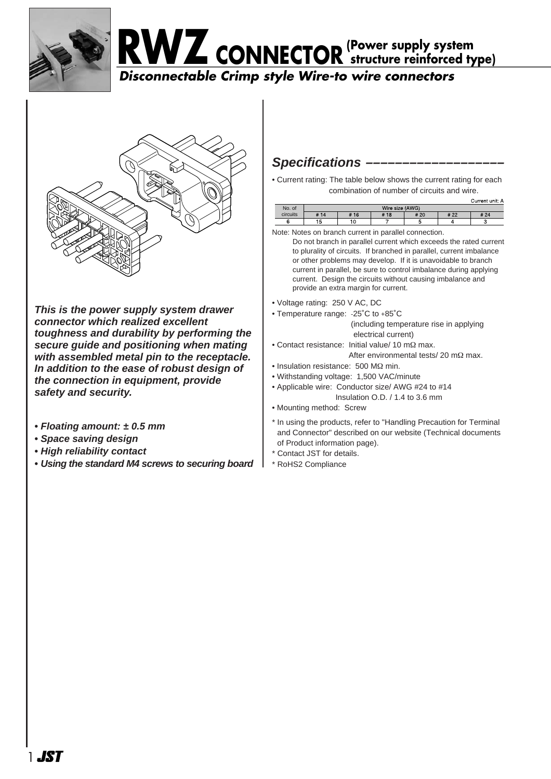





**This is the power supply system drawer connector which realized excellent toughness and durability by performing the secure guide and positioning when mating with assembled metal pin to the receptacle. In addition to the ease of robust design of the connection in equipment, provide safety and security.** 

- **Floating amount: ± 0.5 mm**
- **Space saving design**
- **High reliability contact**
- **Using the standard M4 screws to securing board**

## Specifications -

• Current rating: The table below shows the current rating for each combination of number of circuits and wire.

|          |      |     |                 |      |      | Current unit: A |
|----------|------|-----|-----------------|------|------|-----------------|
| No. of   |      |     | Wire size (AWG) |      |      |                 |
| circuits | # 14 | #16 | 18<br>#         | # 20 | # 22 | # 24            |
|          | э    |     |                 |      |      |                 |

Note: Notes on branch current in parallel connection.

Do not branch in parallel current which exceeds the rated current to plurality of circuits. If branched in parallel, current imbalance or other problems may develop. If it is unavoidable to branch current in parallel, be sure to control imbalance during applying current. Design the circuits without causing imbalance and provide an extra margin for current.

- Voltage rating: 250 V AC, DC
- Temperature range: -25˚C to +85˚C (including temperature rise in applying

electrical current)

- Contact resistance: Initial value/ 10 mΩ max. After environmental tests/ 20 mΩ max.
- Insulation resistance: 500 MΩ min.
- Withstanding voltage: 1,500 VAC/minute
- Applicable wire: Conductor size/ AWG #24 to #14 Insulation O.D. / 1.4 to 3.6 mm
- Mounting method: Screw

\* In using the products, refer to "Handling Precaution for Terminal and Connector" described on our website (Technical documents of Product information page).

- \* Contact JST for details.
- \* RoHS2 Compliance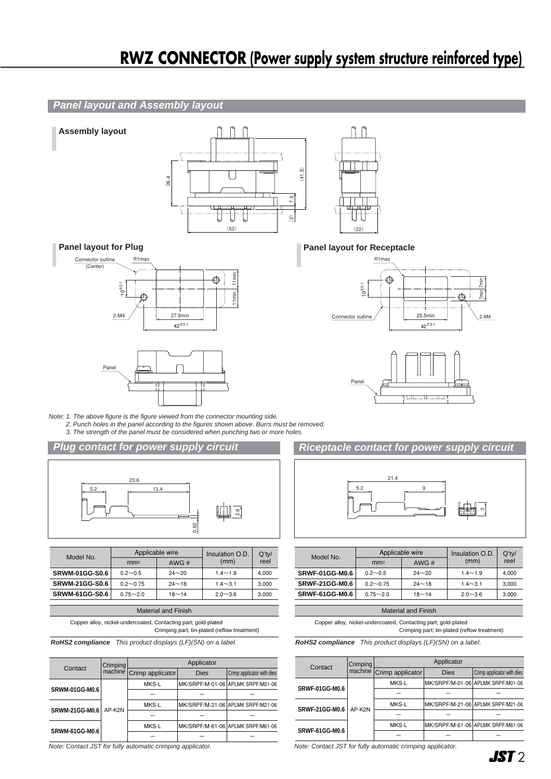# **RWZ CONNECTOR (Power supply system structure reinforced type)**

#### **Panel layout and Assembly layout**





**Assembly layout**





- Note: 1. The above figure is the figure viewed from the connector mounting side.
	- 2. Punch holes in the panel according to the figures shown above. Burrs must be removed. 3. The strength of the panel must be considered when punching two or more holes.

#### **Plug contact for power supply circuit**



| Model No.             |                 | Applicable wire | Insulation O.D. | $Q'$ ty/ |  |
|-----------------------|-----------------|-----------------|-----------------|----------|--|
|                       | mm <sup>2</sup> | AWG $#$         | (mm)            | reel     |  |
| <b>SRWM-01GG-S0.6</b> | $0.2 - 0.5$     | $24 - 20$       | $1.4 - 1.9$     | 4.000    |  |
| <b>SRWM-21GG-S0.6</b> | $0.2 - 0.75$    | $24 - 18$       | $1.4 - 3.1$     | 3.000    |  |
| <b>SRWM-61GG-S0.6</b> | $0.75 - 2.0$    | $18 - 14$       | $2.0 - 3.6$     | 3.000    |  |
|                       |                 |                 |                 |          |  |

| <b>Material and Finish</b>                                                                                     |  |  |  |  |
|----------------------------------------------------------------------------------------------------------------|--|--|--|--|
| Copper alloy, nickel-undercoated, Contacting part; gold-plated<br>Crimping part; tin-plated (reflow treatment) |  |  |  |  |

**RoHS2 compliance** This product displays (LF)(SN) on a label.

| Contact               | Crimping | Applicator               |             |                                   |  |  |
|-----------------------|----------|--------------------------|-------------|-----------------------------------|--|--|
|                       |          | machine Crimp applicator | <b>Dies</b> | Crimp applicator with dies        |  |  |
| <b>SRWM-01GG-M0.6</b> | AP-K2N   | MKS-L                    |             | MK/SRPF/M-01-06 APLMK SRPF/M01-06 |  |  |
|                       |          |                          |             |                                   |  |  |
|                       |          | MKS-L                    |             | MK/SRPF/M-21-06 APLMK SRPF/M21-06 |  |  |
| <b>SRWM-21GG-M0.6</b> |          |                          |             |                                   |  |  |
|                       |          | MKS-L                    |             | MK/SRPF/M-61-06 APLMK SRPF/M61-06 |  |  |
| <b>SRWM-61GG-M0.6</b> |          |                          |             |                                   |  |  |

Note: Contact JST for fully automatic crimping applicator.

### **Panel layout for Plug Panel layout for Receptacle**





### **Riceptacle contact for power supply circuit**



| Model No.             |                 | Applicable wire | Insulation O.D. | Q'tv/ |  |
|-----------------------|-----------------|-----------------|-----------------|-------|--|
|                       | mm <sup>2</sup> | AWG#            | (mm)            | reel  |  |
| <b>SRWF-01GG-M0.6</b> | $0.2 - 0.5$     | $24 - 20$       | $1.4 - 1.9$     | 4.000 |  |
| <b>SRWF-21GG-M0.6</b> | $0.2 - 0.75$    | $24 - 18$       | $1.4 - 3.1$     | 3.000 |  |
| <b>SRWF-61GG-M0.6</b> | $0.75 - 2.0$    | $18 - 14$       | $2.0 - 3.6$     | 3.000 |  |

| <b>Material and Finish</b> |  |
|----------------------------|--|
|                            |  |

Copper alloy, nickel-undercoated, Contacting part; gold-plated

Crimping part; tin-plated (reflow treatment)

**RoHS2 compliance** This product displays (LF)(SN) on a label.

| Contact               | Crimping<br>machine | Applicator       |             |                                   |  |
|-----------------------|---------------------|------------------|-------------|-----------------------------------|--|
|                       |                     | Crimp applicator | <b>Dies</b> | Crimp applicator with dies        |  |
|                       | AP-K2N              | MKS-L            |             | MK/SRPF/M-01-06 APLMK SRPF/M01-06 |  |
| <b>SRWF-01GG-M0.6</b> |                     |                  |             |                                   |  |
| <b>SRWF-21GG-M0.6</b> |                     | MKS-L            |             | MK/SRPF/M-21-06 APLMK SRPF/M21-06 |  |
|                       |                     |                  |             |                                   |  |
| <b>SRWF-61GG-M0.6</b> |                     | MKS-L            |             | MK/SRPF/M-61-06 APLMK SRPF/M61-06 |  |
|                       |                     |                  |             |                                   |  |

Note: Contact JST for fully automatic crimping applicator.